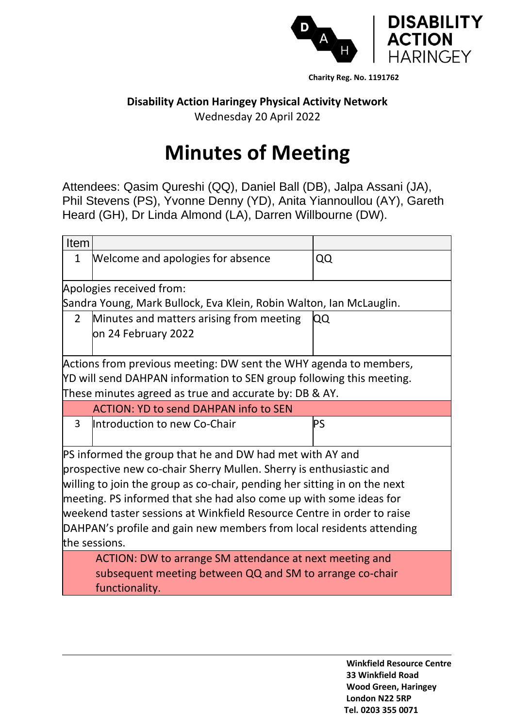

## **Disability Action Haringey Physical Activity Network**

Wednesday 20 April 2022

## **Minutes of Meeting**

Attendees: Qasim Qureshi (QQ), Daniel Ball (DB), Jalpa Assani (JA), Phil Stevens (PS), Yvonne Denny (YD), Anita Yiannoullou (AY), Gareth Heard (GH), Dr Linda Almond (LA), Darren Willbourne (DW).

| Item                                                                      |                                                                    |           |  |  |  |
|---------------------------------------------------------------------------|--------------------------------------------------------------------|-----------|--|--|--|
| 1                                                                         | Welcome and apologies for absence                                  | QQ        |  |  |  |
|                                                                           | Apologies received from:                                           |           |  |  |  |
| Sandra Young, Mark Bullock, Eva Klein, Robin Walton, Ian McLauglin.       |                                                                    |           |  |  |  |
| $\mathcal{P}$                                                             | Minutes and matters arising from meeting                           | QQ        |  |  |  |
|                                                                           | on 24 February 2022                                                |           |  |  |  |
|                                                                           |                                                                    |           |  |  |  |
| Actions from previous meeting: DW sent the WHY agenda to members,         |                                                                    |           |  |  |  |
| YD will send DAHPAN information to SEN group following this meeting.      |                                                                    |           |  |  |  |
|                                                                           | These minutes agreed as true and accurate by: DB & AY.             |           |  |  |  |
|                                                                           | <b>ACTION: YD to send DAHPAN info to SEN</b>                       |           |  |  |  |
| 3                                                                         | Introduction to new Co-Chair                                       | <b>PS</b> |  |  |  |
|                                                                           |                                                                    |           |  |  |  |
|                                                                           | PS informed the group that he and DW had met with AY and           |           |  |  |  |
|                                                                           | prospective new co-chair Sherry Mullen. Sherry is enthusiastic and |           |  |  |  |
| willing to join the group as co-chair, pending her sitting in on the next |                                                                    |           |  |  |  |
| meeting. PS informed that she had also come up with some ideas for        |                                                                    |           |  |  |  |
| weekend taster sessions at Winkfield Resource Centre in order to raise    |                                                                    |           |  |  |  |
| DAHPAN's profile and gain new members from local residents attending      |                                                                    |           |  |  |  |
| the sessions.                                                             |                                                                    |           |  |  |  |
| ACTION: DW to arrange SM attendance at next meeting and                   |                                                                    |           |  |  |  |
| subsequent meeting between QQ and SM to arrange co-chair                  |                                                                    |           |  |  |  |
| functionality.                                                            |                                                                    |           |  |  |  |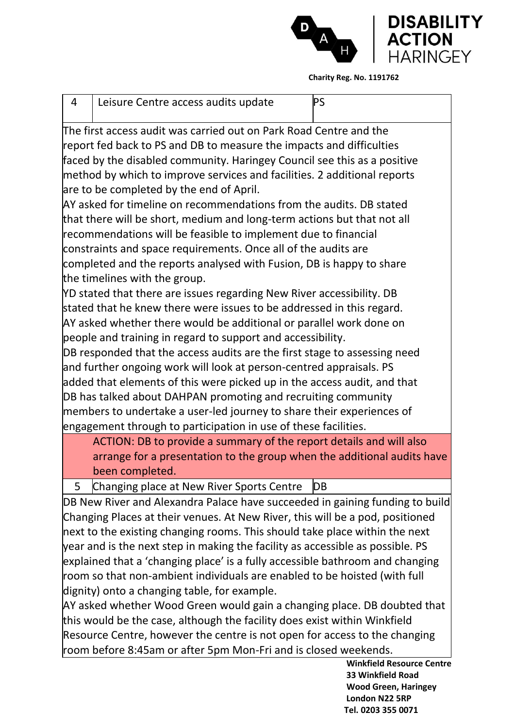

| 4                                                                                                                                                               | Leisure Centre access audits update                                                     | <b>PS</b> |  |  |  |
|-----------------------------------------------------------------------------------------------------------------------------------------------------------------|-----------------------------------------------------------------------------------------|-----------|--|--|--|
|                                                                                                                                                                 | $\mathrel{\mathsf{The}}$ first access audit was carried out on Park Road Centre and the |           |  |  |  |
| report fed back to PS and DB to measure the impacts and difficulties                                                                                            |                                                                                         |           |  |  |  |
| faced by the disabled community. Haringey Council see this as a positive                                                                                        |                                                                                         |           |  |  |  |
| method by which to improve services and facilities. 2 additional reports                                                                                        |                                                                                         |           |  |  |  |
| are to be completed by the end of April.                                                                                                                        |                                                                                         |           |  |  |  |
| AY asked for timeline on recommendations from the audits. DB stated                                                                                             |                                                                                         |           |  |  |  |
|                                                                                                                                                                 | that there will be short, medium and long-term actions but that not all                 |           |  |  |  |
| recommendations will be feasible to implement due to financial                                                                                                  |                                                                                         |           |  |  |  |
|                                                                                                                                                                 | constraints and space requirements. Once all of the audits are                          |           |  |  |  |
| completed and the reports analysed with Fusion, DB is happy to share                                                                                            |                                                                                         |           |  |  |  |
| the timelines with the group.                                                                                                                                   |                                                                                         |           |  |  |  |
| YD stated that there are issues regarding New River accessibility. DB                                                                                           |                                                                                         |           |  |  |  |
|                                                                                                                                                                 | stated that he knew there were issues to be addressed in this regard.                   |           |  |  |  |
|                                                                                                                                                                 | AY asked whether there would be additional or parallel work done on                     |           |  |  |  |
|                                                                                                                                                                 | people and training in regard to support and accessibility.                             |           |  |  |  |
|                                                                                                                                                                 | DB responded that the access audits are the first stage to assessing need               |           |  |  |  |
|                                                                                                                                                                 | and further ongoing work will look at person-centred appraisals. PS                     |           |  |  |  |
|                                                                                                                                                                 | added that elements of this were picked up in the access audit, and that                |           |  |  |  |
|                                                                                                                                                                 | DB has talked about DAHPAN promoting and recruiting community                           |           |  |  |  |
|                                                                                                                                                                 | members to undertake a user-led journey to share their experiences of                   |           |  |  |  |
|                                                                                                                                                                 | engagement through to participation in use of these facilities.                         |           |  |  |  |
|                                                                                                                                                                 | ACTION: DB to provide a summary of the report details and will also                     |           |  |  |  |
|                                                                                                                                                                 | arrange for a presentation to the group when the additional audits have                 |           |  |  |  |
|                                                                                                                                                                 | been completed.                                                                         |           |  |  |  |
|                                                                                                                                                                 | Changing place at New River Sports Centre                                               | DB        |  |  |  |
| DB New River and Alexandra Palace have succeeded in gaining funding to build                                                                                    |                                                                                         |           |  |  |  |
| Changing Places at their venues. At New River, this will be a pod, positioned                                                                                   |                                                                                         |           |  |  |  |
| next to the existing changing rooms. This should take place within the next                                                                                     |                                                                                         |           |  |  |  |
| year and is the next step in making the facility as accessible as possible. PS<br>explained that a 'changing place' is a fully accessible bathroom and changing |                                                                                         |           |  |  |  |
| room so that non-ambient individuals are enabled to be hoisted (with full                                                                                       |                                                                                         |           |  |  |  |
|                                                                                                                                                                 | dignity) onto a changing table, for example.                                            |           |  |  |  |
|                                                                                                                                                                 |                                                                                         |           |  |  |  |

AY asked whether Wood Green would gain a changing place. DB doubted that this would be the case, although the facility does exist within Winkfield Resource Centre, however the centre is not open for access to the changing room before 8:45am or after 5pm Mon-Fri and is closed weekends.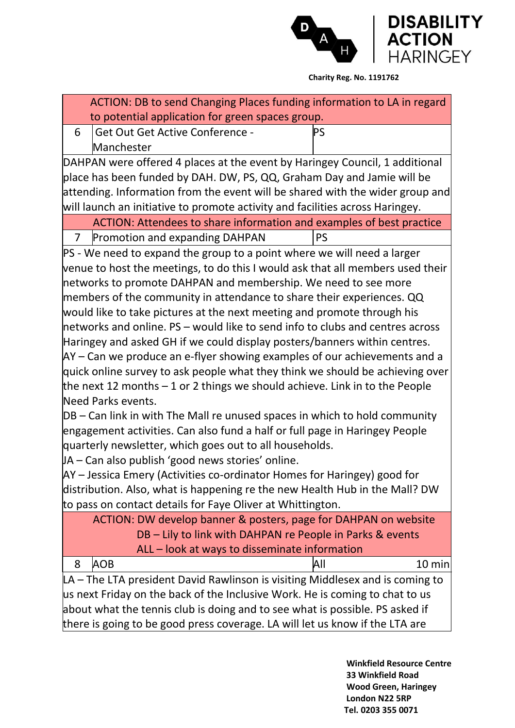

| ACTION: DB to send Changing Places funding information to LA in regard          |               |  |  |  |
|---------------------------------------------------------------------------------|---------------|--|--|--|
| to potential application for green spaces group.                                |               |  |  |  |
| <b>Get Out Get Active Conference -</b><br>6                                     | PS            |  |  |  |
| Manchester                                                                      |               |  |  |  |
| DAHPAN were offered 4 places at the event by Haringey Council, 1 additional     |               |  |  |  |
| place has been funded by DAH. DW, PS, QQ, Graham Day and Jamie will be          |               |  |  |  |
| attending. Information from the event will be shared with the wider group and   |               |  |  |  |
| will launch an initiative to promote activity and facilities across Haringey.   |               |  |  |  |
| ACTION: Attendees to share information and examples of best practice            |               |  |  |  |
| Promotion and expanding DAHPAN<br>$\overline{7}$                                | <b>PS</b>     |  |  |  |
| PS - We need to expand the group to a point where we will need a larger         |               |  |  |  |
| venue to host the meetings, to do this I would ask that all members used their  |               |  |  |  |
| networks to promote DAHPAN and membership. We need to see more                  |               |  |  |  |
| members of the community in attendance to share their experiences. QQ           |               |  |  |  |
| would like to take pictures at the next meeting and promote through his         |               |  |  |  |
| networks and online. $PS$ – would like to send info to clubs and centres across |               |  |  |  |
| Haringey and asked GH if we could display posters/banners within centres.       |               |  |  |  |
| $AY - Can$ we produce an e-flyer showing examples of our achievements and a     |               |  |  |  |
| quick online survey to ask people what they think we should be achieving over   |               |  |  |  |
| the next 12 months $-1$ or 2 things we should achieve. Link in to the People    |               |  |  |  |
| Need Parks events.                                                              |               |  |  |  |
| DB – Can link in with The Mall re unused spaces in which to hold community      |               |  |  |  |
| engagement activities. Can also fund a half or full page in Haringey People     |               |  |  |  |
| quarterly newsletter, which goes out to all households.                         |               |  |  |  |
| JA – Can also publish 'good news stories' online.                               |               |  |  |  |
| AY – Jessica Emery (Activities co-ordinator Homes for Haringey) good for        |               |  |  |  |
| distribution. Also, what is happening re the new Health Hub in the Mall? DW     |               |  |  |  |
| to pass on contact details for Faye Oliver at Whittington.                      |               |  |  |  |
| ACTION: DW develop banner & posters, page for DAHPAN on website                 |               |  |  |  |
| DB - Lily to link with DAHPAN re People in Parks & events                       |               |  |  |  |
| ALL - look at ways to disseminate information                                   |               |  |  |  |
| <b>AOB</b><br>8                                                                 | All<br>10 min |  |  |  |
| LA – The LTA president David Rawlinson is visiting Middlesex and is coming to   |               |  |  |  |
| us next Friday on the back of the Inclusive Work. He is coming to chat to us    |               |  |  |  |
| about what the tennis club is doing and to see what is possible. PS asked if    |               |  |  |  |
| there is going to be good press coverage. LA will let us know if the LTA are    |               |  |  |  |